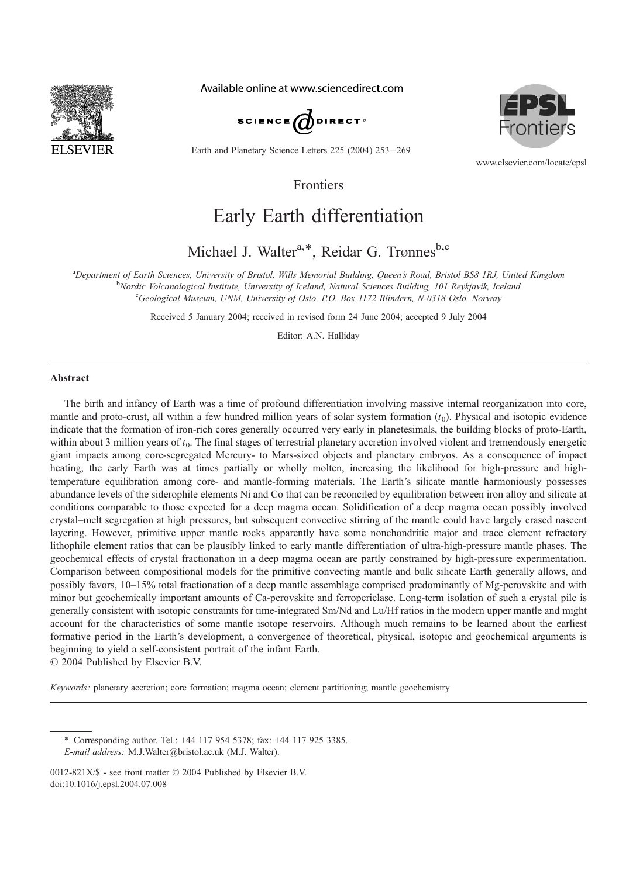

Available online at www.sciencedirect.com



Earth and Planetary Science Letters 225 (2004) 253 – 269



www.elsevier.com/locate/epsl

Frontiers

# Early Earth differentiation

Michael J. Walter<sup>a,\*</sup>, Reidar G. Trønnes<sup>b,c</sup>

a<br>Department of Earth Sciences, University of Bristol, Wills Memorial Building, Queen's Road, Bristol BS8 1RJ, United Kingdom<br>b bNordie Voleanological Institute, University of Iceland, Natural Sciences Building, 101 Peykja <sup>b</sup>Nordic Volcanological Institute, University of Iceland, Natural Sciences Building, 101 Reykjavík, Iceland <sup>c</sup>Geological Museum, UNM, University of Oslo, P.O. Box 1172 Blindern, N-0318 Oslo, Norway

Received 5 January 2004; received in revised form 24 June 2004; accepted 9 July 2004

Editor: A.N. Halliday

#### Abstract

The birth and infancy of Earth was a time of profound differentiation involving massive internal reorganization into core, mantle and proto-crust, all within a few hundred million years of solar system formation  $(t_0)$ . Physical and isotopic evidence indicate that the formation of iron-rich cores generally occurred very early in planetesimals, the building blocks of proto-Earth, within about 3 million years of  $t_0$ . The final stages of terrestrial planetary accretion involved violent and tremendously energetic giant impacts among core-segregated Mercury- to Mars-sized objects and planetary embryos. As a consequence of impact heating, the early Earth was at times partially or wholly molten, increasing the likelihood for high-pressure and hightemperature equilibration among core- and mantle-forming materials. The Earth's silicate mantle harmoniously possesses abundance levels of the siderophile elements Ni and Co that can be reconciled by equilibration between iron alloy and silicate at conditions comparable to those expected for a deep magma ocean. Solidification of a deep magma ocean possibly involved crystal–melt segregation at high pressures, but subsequent convective stirring of the mantle could have largely erased nascent layering. However, primitive upper mantle rocks apparently have some nonchondritic major and trace element refractory lithophile element ratios that can be plausibly linked to early mantle differentiation of ultra-high-pressure mantle phases. The geochemical effects of crystal fractionation in a deep magma ocean are partly constrained by high-pressure experimentation. Comparison between compositional models for the primitive convecting mantle and bulk silicate Earth generally allows, and possibly favors, 10–15% total fractionation of a deep mantle assemblage comprised predominantly of Mg-perovskite and with minor but geochemically important amounts of Ca-perovskite and ferropericlase. Long-term isolation of such a crystal pile is generally consistent with isotopic constraints for time-integrated Sm/Nd and Lu/Hf ratios in the modern upper mantle and might account for the characteristics of some mantle isotope reservoirs. Although much remains to be learned about the earliest formative period in the Earth's development, a convergence of theoretical, physical, isotopic and geochemical arguments is beginning to yield a self-consistent portrait of the infant Earth.  $© 2004$  Published by Elsevier B.V.

Keywords: planetary accretion; core formation; magma ocean; element partitioning; mantle geochemistry

\* Corresponding author. Tel.: +44 117 954 5378; fax: +44 117 925 3385. E-mail address: M.J.Walter@bristol.ac.uk (M.J. Walter).

<sup>0012-821</sup>X/\$ - see front matter  $\odot$  2004 Published by Elsevier B.V. doi:10.1016/j.epsl.2004.07.008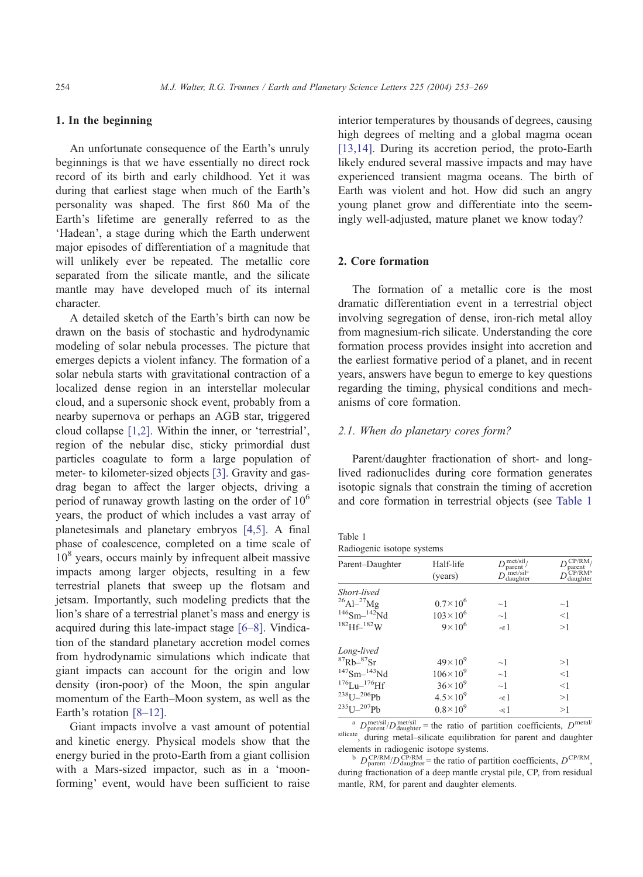## <span id="page-1-0"></span>1. In the beginning

An unfortunate consequence of the Earth's unruly beginnings is that we have essentially no direct rock record of its birth and early childhood. Yet it was during that earliest stage when much of the Earth's personality was shaped. The first 860 Ma of the Earth's lifetime are generally referred to as the 'Hadean', a stage during which the Earth underwent major episodes of differentiation of a magnitude that will unlikely ever be repeated. The metallic core separated from the silicate mantle, and the silicate mantle may have developed much of its internal character.

A detailed sketch of the Earth's birth can now be drawn on the basis of stochastic and hydrodynamic modeling of solar nebula processes. The picture that emerges depicts a violent infancy. The formation of a solar nebula starts with gravitational contraction of a localized dense region in an interstellar molecular cloud, and a supersonic shock event, probably from a nearby supernova or perhaps an AGB star, triggered cloud collapse  $[1,2]$ . Within the inner, or 'terrestrial', region of the nebular disc, sticky primordial dust particles coagulate to form a large population of meter- to kilometer-sized objects [\[3\].](#page-13-0) Gravity and gasdrag began to affect the larger objects, driving a period of runaway growth lasting on the order of  $10^6$ years, the product of which includes a vast array of planetesimals and planetary embryos [\[4,5\].](#page-14-0) A final phase of coalescence, completed on a time scale of  $10<sup>8</sup>$  years, occurs mainly by infrequent albeit massive impacts among larger objects, resulting in a few terrestrial planets that sweep up the flotsam and jetsam. Importantly, such modeling predicts that the lion's share of a terrestrial planet's mass and energy is acquired during this late-impact stage [\[6–8\].](#page-14-0) Vindication of the standard planetary accretion model comes from hydrodynamic simulations which indicate that giant impacts can account for the origin and low density (iron-poor) of the Moon, the spin angular momentum of the Earth–Moon system, as well as the Earth's rotation [\[8–12\].](#page-14-0)

Giant impacts involve a vast amount of potential and kinetic energy. Physical models show that the energy buried in the proto-Earth from a giant collision with a Mars-sized impactor, such as in a 'moonforming' event, would have been sufficient to raise interior temperatures by thousands of degrees, causing high degrees of melting and a global magma ocean [\[13,14\].](#page-14-0) During its accretion period, the proto-Earth likely endured several massive impacts and may have experienced transient magma oceans. The birth of Earth was violent and hot. How did such an angry young planet grow and differentiate into the seemingly well-adjusted, mature planet we know today?

# 2. Core formation

The formation of a metallic core is the most dramatic differentiation event in a terrestrial object involving segregation of dense, iron-rich metal alloy from magnesium-rich silicate. Understanding the core formation process provides insight into accretion and the earliest formative period of a planet, and in recent years, answers have begun to emerge to key questions regarding the timing, physical conditions and mechanisms of core formation.

## 2.1. When do planetary cores form?

Parent/daughter fractionation of short- and longlived radionuclides during core formation generates isotopic signals that constrain the timing of accretion and core formation in terrestrial objects (see Table 1

| Table 1                     |  |
|-----------------------------|--|
| Dadiograpic isotone systems |  |

| Parent-Daughter                           | Half-life<br>(years) | $D_{\text{parent}}^{\text{met/sil}}/$<br>met/sil <sup>a</sup><br>$D_{\text{daughter}}^{\text{meas}}$ | CP/RM<br>$D_{\text{parent}}^{\text{CFT}}$<br>$CP/RM^b$<br>$D_{\text{daughter}}^{\text{LFT,iso}}$ |
|-------------------------------------------|----------------------|------------------------------------------------------------------------------------------------------|--------------------------------------------------------------------------------------------------|
| Short-lived                               |                      |                                                                                                      |                                                                                                  |
| $^{26}$ Al <sup>-27</sup> Mg              | $0.7 \times 10^{6}$  | $\sim$ 1                                                                                             | $\sim$ 1                                                                                         |
| $146$ Sm $ 142$ Nd                        | $103 \times 10^{6}$  | $\sim$ 1                                                                                             | <1                                                                                               |
| $182$ Hf $ 182$ W                         | $9\times10^6$        | $\lessdot$ 1                                                                                         | >1                                                                                               |
| Long-lived                                |                      |                                                                                                      |                                                                                                  |
| ${}^{87}Rb-{}^{87}Sr$                     | $49\times10^{9}$     | $\sim$ 1                                                                                             | >1                                                                                               |
| $147$ Sm $ 143$ Nd                        | $106 \times 10^{9}$  | $\sim$ 1                                                                                             | $<$ 1                                                                                            |
| $176$ Lu- $176$ Hf                        | $36\times10^{9}$     | $\sim$ 1                                                                                             | $<$ 1                                                                                            |
| $^{238}$ U <sub>-206</sub> p <sub>h</sub> | $4.5 \times 10^{9}$  | $\lessdot 1$                                                                                         | >1                                                                                               |
| $^{235}$ U $^{-207}$ Ph                   | $0.8 \times 10^{9}$  | $\lessdot 1$                                                                                         | >1                                                                                               |

<sup>a</sup>  $D_{\text{parent}}^{\text{met/sil}}/D_{\text{daughter}}^{\text{met/sil}}$  = the ratio of partition coefficients,  $D^{\text{metal}}/D_{\text{daughter}}^{\text{met/sil}}$ silicate, during metal–silicate equilibration for parent and daughter

elements in radiogenic isotope systems.<br>  $\frac{b}{D_{\text{parent}}^{\text{OPT} \times D_{\text{dauge}^{\text{filter}}}} = \text{the ratio of partition coefficients, } D^{\text{CP/RM}}$ , during fractionation of a deep mantle crystal pile, CP, from residual mantle, RM, for parent and daughter elements.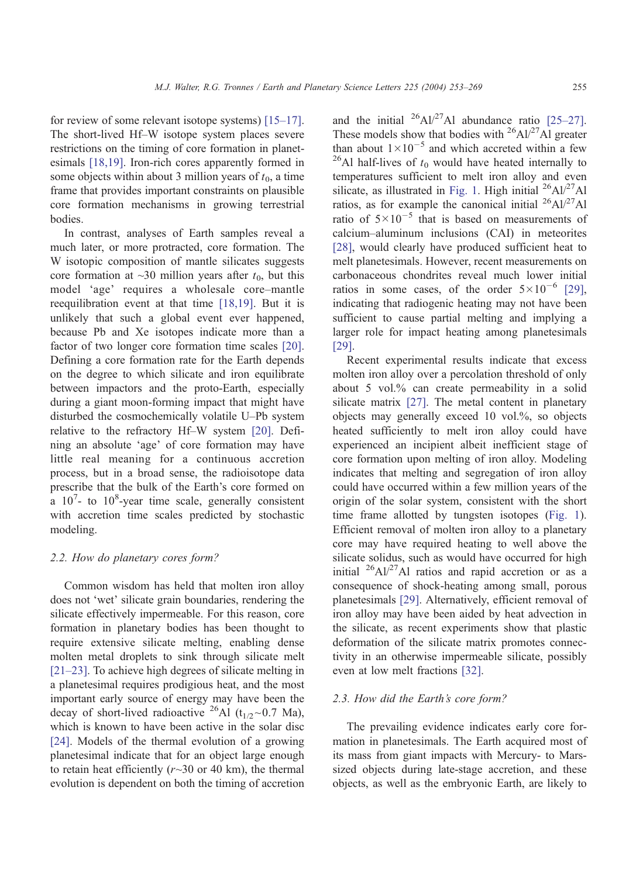for review of some relevant isotope systems) [\[15–17\].](#page-14-0) The short-lived Hf–W isotope system places severe restrictions on the timing of core formation in planetesimals [\[18,19\].](#page-14-0) Iron-rich cores apparently formed in some objects within about 3 million years of  $t_0$ , a time frame that provides important constraints on plausible core formation mechanisms in growing terrestrial bodies.

In contrast, analyses of Earth samples reveal a much later, or more protracted, core formation. The W isotopic composition of mantle silicates suggests core formation at  $\sim$ 30 million years after  $t_0$ , but this model 'age' requires a wholesale core–mantle reequilibration event at that time [\[18,19\].](#page-14-0) But it is unlikely that such a global event ever happened, because Pb and Xe isotopes indicate more than a factor of two longer core formation time scales [\[20\].](#page-14-0) Defining a core formation rate for the Earth depends on the degree to which silicate and iron equilibrate between impactors and the proto-Earth, especially during a giant moon-forming impact that might have disturbed the cosmochemically volatile U–Pb system relative to the refractory Hf–W system [\[20\].](#page-14-0) Defining an absolute 'age' of core formation may have little real meaning for a continuous accretion process, but in a broad sense, the radioisotope data prescribe that the bulk of the Earth's core formed on  $\alpha$  10<sup>7</sup>- to 10<sup>8</sup>-year time scale, generally consistent with accretion time scales predicted by stochastic modeling.

#### 2.2. How do planetary cores form?

Common wisdom has held that molten iron alloy does not 'wet' silicate grain boundaries, rendering the silicate effectively impermeable. For this reason, core formation in planetary bodies has been thought to require extensive silicate melting, enabling dense molten metal droplets to sink through silicate melt [\[21–23\].](#page-14-0) To achieve high degrees of silicate melting in a planetesimal requires prodigious heat, and the most important early source of energy may have been the decay of short-lived radioactive <sup>26</sup>Al (t<sub>1/2</sub>~0.7 Ma), which is known to have been active in the solar disc [\[24\].](#page-14-0) Models of the thermal evolution of a growing planetesimal indicate that for an object large enough to retain heat efficiently  $(r<sub>30</sub> or 40 km)$ , the thermal evolution is dependent on both the timing of accretion

and the initial  $^{26}$ Al/<sup>27</sup>Al abundance ratio [\[25–27\].](#page-14-0) These models show that bodies with  $^{26}$ Al/<sup>27</sup>Al greater than about  $1 \times 10^{-5}$  and which accreted within a few <sup>26</sup>Al half-lives of  $t_0$  would have heated internally to temperatures sufficient to melt iron alloy and even silicate, as illustrated in [Fig. 1.](#page-3-0) High initial <sup>26</sup>Al/<sup>27</sup>Al ratios, as for example the canonical initial  $^{26}$ Al/<sup>27</sup>Al ratio of  $5\times10^{-5}$  that is based on measurements of calcium–aluminum inclusions (CAI) in meteorites [\[28\],](#page-14-0) would clearly have produced sufficient heat to melt planetesimals. However, recent measurements on carbonaceous chondrites reveal much lower initial ratios in some cases, of the order  $5\times10^{-6}$  [\[29\],](#page-14-0) indicating that radiogenic heating may not have been sufficient to cause partial melting and implying a larger role for impact heating among planetesimals [\[29\].](#page-14-0)

Recent experimental results indicate that excess molten iron alloy over a percolation threshold of only about 5 vol.% can create permeability in a solid silicate matrix [\[27\].](#page-14-0) The metal content in planetary objects may generally exceed 10 vol.%, so objects heated sufficiently to melt iron alloy could have experienced an incipient albeit inefficient stage of core formation upon melting of iron alloy. Modeling indicates that melting and segregation of iron alloy could have occurred within a few million years of the origin of the solar system, consistent with the short time frame allotted by tungsten isotopes ([Fig. 1\)](#page-3-0). Efficient removal of molten iron alloy to a planetary core may have required heating to well above the silicate solidus, such as would have occurred for high initial  $^{26}$ Al/<sup>27</sup>Al ratios and rapid accretion or as a consequence of shock-heating among small, porous planetesimals [\[29\].](#page-14-0) Alternatively, efficient removal of iron alloy may have been aided by heat advection in the silicate, as recent experiments show that plastic deformation of the silicate matrix promotes connectivity in an otherwise impermeable silicate, possibly even at low melt fractions [\[32\].](#page-14-0)

#### 2.3. How did the Earth's core form?

The prevailing evidence indicates early core formation in planetesimals. The Earth acquired most of its mass from giant impacts with Mercury- to Marssized objects during late-stage accretion, and these objects, as well as the embryonic Earth, are likely to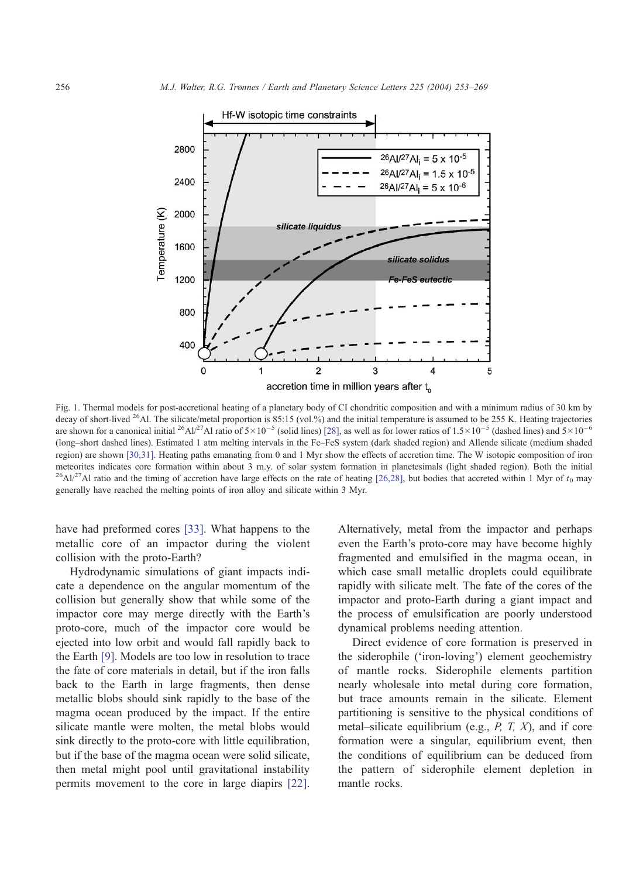<span id="page-3-0"></span>

Fig. 1. Thermal models for post-accretional heating of a planetary body of CI chondritic composition and with a minimum radius of 30 km by decay of short-lived <sup>26</sup>Al. The silicate/metal proportion is 85:15 (vol.%) and the initial temperature is assumed to be 255 K. Heating trajectories are shown for a canonical initial <sup>26</sup>Al/<sup>27</sup>Al ratio of  $5 \times 10^{-5}$  (solid lines) [\[28\],](#page-14-0) as well as for lower ratios of  $1.5 \times 10^{-5}$  (dashed lines) and  $5 \times 10^{-6}$ (long–short dashed lines). Estimated 1 atm melting intervals in the Fe–FeS system (dark shaded region) and Allende silicate (medium shaded region) are shown [\[30,31\].](#page-14-0) Heating paths emanating from 0 and 1 Myr show the effects of accretion time. The W isotopic composition of iron meteorites indicates core formation within about 3 m.y. of solar system formation in planetesimals (light shaded region). Both the initial <sup>26</sup>Al/<sup>27</sup>Al ratio and the timing of accretion have large effects on the rate of heating [\[26,28\],](#page-14-0) but bodies that accreted within 1 Myr of  $t_0$  may generally have reached the melting points of iron alloy and silicate within 3 Myr.

have had preformed cores [\[33\].](#page-14-0) What happens to the metallic core of an impactor during the violent collision with the proto-Earth?

Hydrodynamic simulations of giant impacts indicate a dependence on the angular momentum of the collision but generally show that while some of the impactor core may merge directly with the Earth's proto-core, much of the impactor core would be ejected into low orbit and would fall rapidly back to the Earth [\[9\].](#page-14-0) Models are too low in resolution to trace the fate of core materials in detail, but if the iron falls back to the Earth in large fragments, then dense metallic blobs should sink rapidly to the base of the magma ocean produced by the impact. If the entire silicate mantle were molten, the metal blobs would sink directly to the proto-core with little equilibration, but if the base of the magma ocean were solid silicate, then metal might pool until gravitational instability permits movement to the core in large diapirs [\[22\].](#page-14-0) Alternatively, metal from the impactor and perhaps even the Earth's proto-core may have become highly fragmented and emulsified in the magma ocean, in which case small metallic droplets could equilibrate rapidly with silicate melt. The fate of the cores of the impactor and proto-Earth during a giant impact and the process of emulsification are poorly understood dynamical problems needing attention.

Direct evidence of core formation is preserved in the siderophile ('iron-loving') element geochemistry of mantle rocks. Siderophile elements partition nearly wholesale into metal during core formation, but trace amounts remain in the silicate. Element partitioning is sensitive to the physical conditions of metal–silicate equilibrium (e.g.,  $P$ ,  $T$ ,  $X$ ), and if core formation were a singular, equilibrium event, then the conditions of equilibrium can be deduced from the pattern of siderophile element depletion in mantle rocks.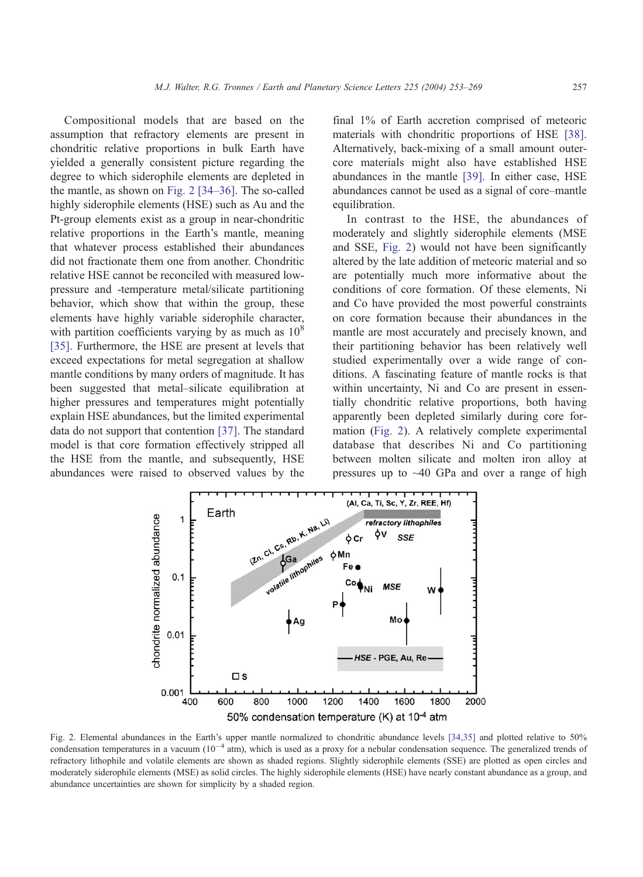Compositional models that are based on the assumption that refractory elements are present in chondritic relative proportions in bulk Earth have yielded a generally consistent picture regarding the degree to which siderophile elements are depleted in the mantle, as shown on Fig. 2 [\[34–36\].](#page-14-0) The so-called highly siderophile elements (HSE) such as Au and the Pt-group elements exist as a group in near-chondritic relative proportions in the Earth's mantle, meaning that whatever process established their abundances did not fractionate them one from another. Chondritic relative HSE cannot be reconciled with measured lowpressure and -temperature metal/silicate partitioning behavior, which show that within the group, these elements have highly variable siderophile character, with partition coefficients varying by as much as  $10^8$ [\[35\].](#page-14-0) Furthermore, the HSE are present at levels that exceed expectations for metal segregation at shallow mantle conditions by many orders of magnitude. It has been suggested that metal–silicate equilibration at higher pressures and temperatures might potentially explain HSE abundances, but the limited experimental data do not support that contention [\[37\].](#page-14-0) The standard model is that core formation effectively stripped all the HSE from the mantle, and subsequently, HSE abundances were raised to observed values by the

final 1% of Earth accretion comprised of meteoric materials with chondritic proportions of HSE [\[38\].](#page-14-0) Alternatively, back-mixing of a small amount outercore materials might also have established HSE abundances in the mantle [\[39\].](#page-14-0) In either case, HSE abundances cannot be used as a signal of core–mantle equilibration.

In contrast to the HSE, the abundances of moderately and slightly siderophile elements (MSE and SSE, Fig. 2) would not have been significantly altered by the late addition of meteoric material and so are potentially much more informative about the conditions of core formation. Of these elements, Ni and Co have provided the most powerful constraints on core formation because their abundances in the mantle are most accurately and precisely known, and their partitioning behavior has been relatively well studied experimentally over a wide range of conditions. A fascinating feature of mantle rocks is that within uncertainty, Ni and Co are present in essentially chondritic relative proportions, both having apparently been depleted similarly during core formation (Fig. 2). A relatively complete experimental database that describes Ni and Co partitioning between molten silicate and molten iron alloy at pressures up to  $\sim$ 40 GPa and over a range of high



Fig. 2. Elemental abundances in the Earth's upper mantle normalized to chondritic abundance levels [\[34,35\]](#page-14-0) and plotted relative to 50% condensation temperatures in a vacuum  $(10^{-4}$  atm), which is used as a proxy for a nebular condensation sequence. The generalized trends of refractory lithophile and volatile elements are shown as shaded regions. Slightly siderophile elements (SSE) are plotted as open circles and moderately siderophile elements (MSE) as solid circles. The highly siderophile elements (HSE) have nearly constant abundance as a group, and abundance uncertainties are shown for simplicity by a shaded region.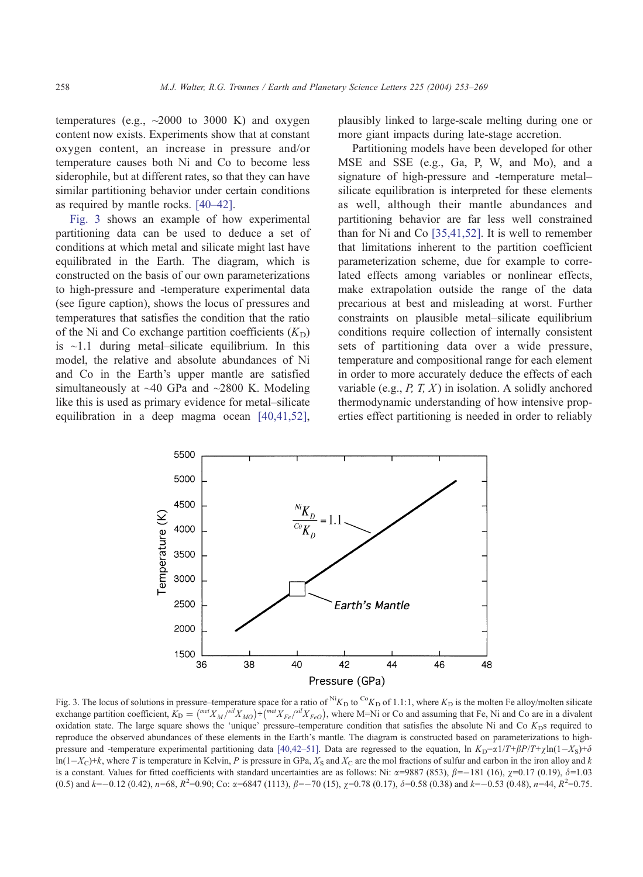temperatures (e.g.,  $\sim$  2000 to 3000 K) and oxygen content now exists. Experiments show that at constant oxygen content, an increase in pressure and/or temperature causes both Ni and Co to become less siderophile, but at different rates, so that they can have similar partitioning behavior under certain conditions as required by mantle rocks. [\[40–42\].](#page-15-0)

Fig. 3 shows an example of how experimental partitioning data can be used to deduce a set of conditions at which metal and silicate might last have equilibrated in the Earth. The diagram, which is constructed on the basis of our own parameterizations to high-pressure and -temperature experimental data (see figure caption), shows the locus of pressures and temperatures that satisfies the condition that the ratio of the Ni and Co exchange partition coefficients  $(K_D)$ is  $\sim$ 1.1 during metal–silicate equilibrium. In this model, the relative and absolute abundances of Ni and Co in the Earth's upper mantle are satisfied simultaneously at  $~40$  GPa and  $~2800$  K. Modeling like this is used as primary evidence for metal–silicate equilibration in a deep magma ocean [\[40,41,52\],](#page-15-0) plausibly linked to large-scale melting during one or more giant impacts during late-stage accretion.

Partitioning models have been developed for other MSE and SSE (e.g., Ga, P, W, and Mo), and a signature of high-pressure and -temperature metal– silicate equilibration is interpreted for these elements as well, although their mantle abundances and partitioning behavior are far less well constrained than for Ni and Co [\[35,41,52\].](#page-14-0) It is well to remember that limitations inherent to the partition coefficient parameterization scheme, due for example to correlated effects among variables or nonlinear effects, make extrapolation outside the range of the data precarious at best and misleading at worst. Further constraints on plausible metal–silicate equilibrium conditions require collection of internally consistent sets of partitioning data over a wide pressure, temperature and compositional range for each element in order to more accurately deduce the effects of each variable (e.g.,  $P, T, X$ ) in isolation. A solidly anchored thermodynamic understanding of how intensive properties effect partitioning is needed in order to reliably



Fig. 3. The locus of solutions in pressure–temperature space for a ratio of  ${}^{Ni}K_D$  to  ${}^{Co}K_D$  of 1.1:1, where  $K_D$  is the molten Fe alloy/molten silicate exchange partition coefficient,  $K_D = {^{met}X_M}^{\{sil}X_{MO}\}$  ÷ ${^{met}X_{Fe}/}^{\{sil}X_{Fe}}$ , where M=Ni or Co and assuming that Fe, Ni and Co are in a divalent oxidation state. The large square shows the 'unique' pressure–temperature condition that satisfies the absolute Ni and Co  $K_{DS}$  required to reproduce the observed abundances of these elements in the Earth's mantle. The diagram is constructed based on parameterizations to high-pressure and -temperature experimental partitioning data [\[40,42–51\].](#page-15-0) Data are regressed to the equation,  $\ln K_{D} = \alpha 1/T + \beta P/T + \chi \ln(1-X_{S}) + \delta$  $\ln(1-X_C)+k$ , where T is temperature in Kelvin, P is pressure in GPa,  $X_S$  and  $X_C$  are the mol fractions of sulfur and carbon in the iron alloy and k is a constant. Values for fitted coefficients with standard uncertainties are as follows: Ni:  $\alpha$ =9887 (853),  $\beta$ =-181 (16),  $\gamma$ =0.17 (0.19),  $\delta$ =1.03 (0.5) and  $k=-0.12$  (0.42),  $n=68$ ,  $R^2=0.90$ ; Co:  $\alpha=6847$  (1113),  $\beta=-70$  (15),  $\chi=0.78$  (0.17),  $\delta=0.58$  (0.38) and  $k=-0.53$  (0.48),  $n=44$ ,  $R^2=0.75$ .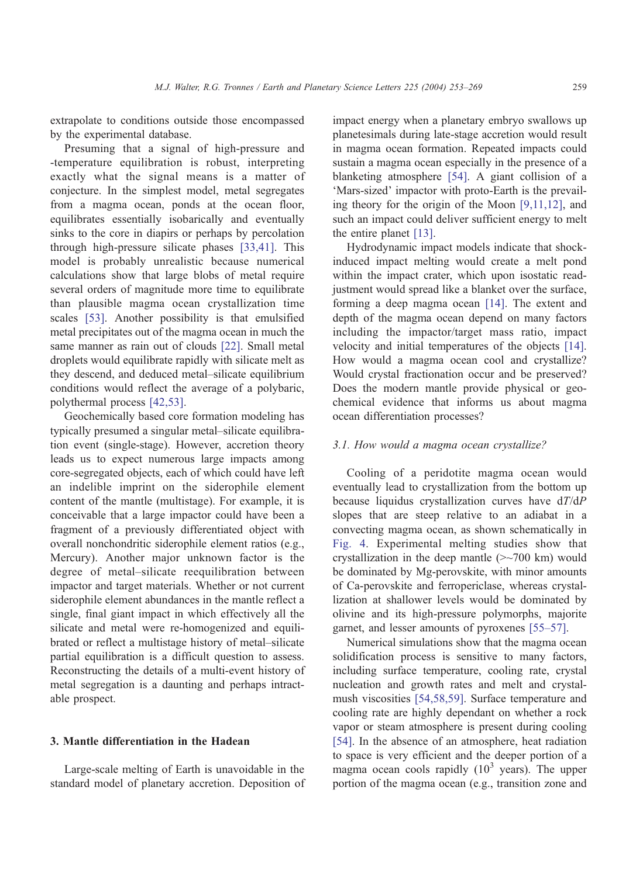extrapolate to conditions outside those encompassed by the experimental database.

Presuming that a signal of high-pressure and -temperature equilibration is robust, interpreting exactly what the signal means is a matter of conjecture. In the simplest model, metal segregates from a magma ocean, ponds at the ocean floor, equilibrates essentially isobarically and eventually sinks to the core in diapirs or perhaps by percolation through high-pressure silicate phases [\[33,41\].](#page-14-0) This model is probably unrealistic because numerical calculations show that large blobs of metal require several orders of magnitude more time to equilibrate than plausible magma ocean crystallization time scales [\[53\].](#page-15-0) Another possibility is that emulsified metal precipitates out of the magma ocean in much the same manner as rain out of clouds [\[22\].](#page-14-0) Small metal droplets would equilibrate rapidly with silicate melt as they descend, and deduced metal–silicate equilibrium conditions would reflect the average of a polybaric, polythermal process [\[42,53\].](#page-15-0)

Geochemically based core formation modeling has typically presumed a singular metal–silicate equilibration event (single-stage). However, accretion theory leads us to expect numerous large impacts among core-segregated objects, each of which could have left an indelible imprint on the siderophile element content of the mantle (multistage). For example, it is conceivable that a large impactor could have been a fragment of a previously differentiated object with overall nonchondritic siderophile element ratios (e.g., Mercury). Another major unknown factor is the degree of metal–silicate reequilibration between impactor and target materials. Whether or not current siderophile element abundances in the mantle reflect a single, final giant impact in which effectively all the silicate and metal were re-homogenized and equilibrated or reflect a multistage history of metal–silicate partial equilibration is a difficult question to assess. Reconstructing the details of a multi-event history of metal segregation is a daunting and perhaps intractable prospect.

#### 3. Mantle differentiation in the Hadean

Large-scale melting of Earth is unavoidable in the standard model of planetary accretion. Deposition of impact energy when a planetary embryo swallows up planetesimals during late-stage accretion would result in magma ocean formation. Repeated impacts could sustain a magma ocean especially in the presence of a blanketing atmosphere [\[54\].](#page-15-0) A giant collision of a 'Mars-sized' impactor with proto-Earth is the prevailing theory for the origin of the Moon [\[9,11,12\],](#page-14-0) and such an impact could deliver sufficient energy to melt the entire planet [\[13\].](#page-14-0)

Hydrodynamic impact models indicate that shockinduced impact melting would create a melt pond within the impact crater, which upon isostatic readjustment would spread like a blanket over the surface, forming a deep magma ocean [\[14\].](#page-14-0) The extent and depth of the magma ocean depend on many factors including the impactor/target mass ratio, impact velocity and initial temperatures of the objects [\[14\].](#page-14-0) How would a magma ocean cool and crystallize? Would crystal fractionation occur and be preserved? Does the modern mantle provide physical or geochemical evidence that informs us about magma ocean differentiation processes?

#### 3.1. How would a magma ocean crystallize?

Cooling of a peridotite magma ocean would eventually lead to crystallization from the bottom up because liquidus crystallization curves have dT/dP slopes that are steep relative to an adiabat in a convecting magma ocean, as shown schematically in [Fig. 4.](#page-7-0) Experimental melting studies show that crystallization in the deep mantle  $(\geq 700 \text{ km})$  would be dominated by Mg-perovskite, with minor amounts of Ca-perovskite and ferropericlase, whereas crystallization at shallower levels would be dominated by olivine and its high-pressure polymorphs, majorite garnet, and lesser amounts of pyroxenes [\[55–57\].](#page-15-0)

Numerical simulations show that the magma ocean solidification process is sensitive to many factors, including surface temperature, cooling rate, crystal nucleation and growth rates and melt and crystalmush viscosities [\[54,58,59\].](#page-15-0) Surface temperature and cooling rate are highly dependant on whether a rock vapor or steam atmosphere is present during cooling [\[54\].](#page-15-0) In the absence of an atmosphere, heat radiation to space is very efficient and the deeper portion of a magma ocean cools rapidly  $(10^3 \text{ years})$ . The upper portion of the magma ocean (e.g., transition zone and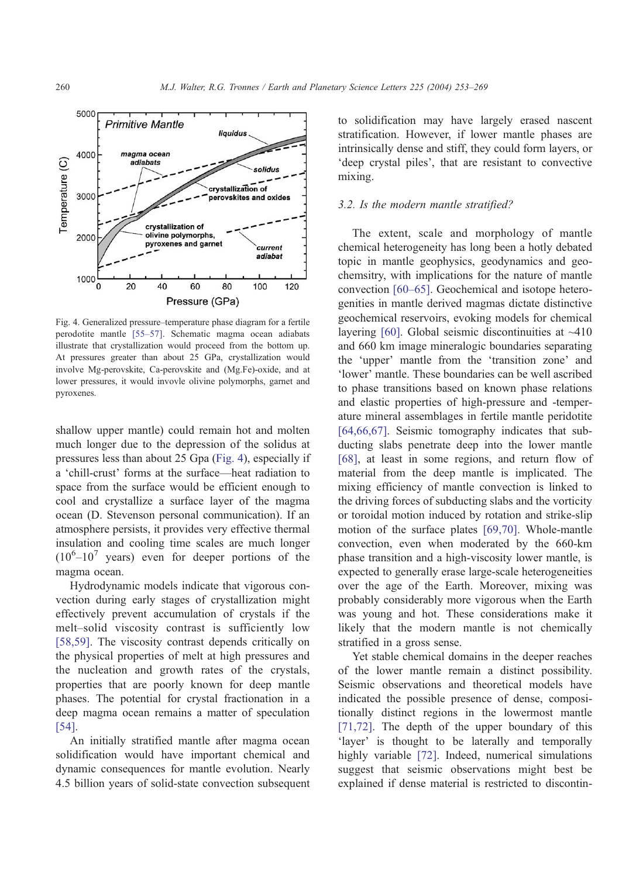<span id="page-7-0"></span>

Fig. 4. Generalized pressure–temperature phase diagram for a fertile perodotite mantle [\[55–57\].](#page-15-0) Schematic magma ocean adiabats illustrate that crystallization would proceed from the bottom up. At pressures greater than about 25 GPa, crystallization would involve Mg-perovskite, Ca-perovskite and (Mg.Fe)-oxide, and at lower pressures, it would invovle olivine polymorphs, garnet and pyroxenes.

shallow upper mantle) could remain hot and molten much longer due to the depression of the solidus at pressures less than about 25 Gpa (Fig. 4), especially if a 'chill-crust' forms at the surface—heat radiation to space from the surface would be efficient enough to cool and crystallize a surface layer of the magma ocean (D. Stevenson personal communication). If an atmosphere persists, it provides very effective thermal insulation and cooling time scales are much longer  $(10<sup>6</sup>-10<sup>7</sup>$  years) even for deeper portions of the magma ocean.

Hydrodynamic models indicate that vigorous convection during early stages of crystallization might effectively prevent accumulation of crystals if the melt–solid viscosity contrast is sufficiently low [\[58,59\]](#page-15-0). The viscosity contrast depends critically on the physical properties of melt at high pressures and the nucleation and growth rates of the crystals, properties that are poorly known for deep mantle phases. The potential for crystal fractionation in a deep magma ocean remains a matter of speculation [\[54\].](#page-15-0)

An initially stratified mantle after magma ocean solidification would have important chemical and dynamic consequences for mantle evolution. Nearly 4.5 billion years of solid-state convection subsequent to solidification may have largely erased nascent stratification. However, if lower mantle phases are intrinsically dense and stiff, they could form layers, or 'deep crystal piles', that are resistant to convective mixing.

#### 3.2. Is the modern mantle stratified?

The extent, scale and morphology of mantle chemical heterogeneity has long been a hotly debated topic in mantle geophysics, geodynamics and geochemsitry, with implications for the nature of mantle convection [\[60–65\].](#page-15-0) Geochemical and isotope heterogenities in mantle derived magmas dictate distinctive geochemical reservoirs, evoking models for chemical layering  $[60]$ . Global seismic discontinuities at  $\sim$ 410 and 660 km image mineralogic boundaries separating the 'upper' mantle from the 'transition zone' and 'lower' mantle. These boundaries can be well ascribed to phase transitions based on known phase relations and elastic properties of high-pressure and -temperature mineral assemblages in fertile mantle peridotite [\[64,66,67\].](#page-15-0) Seismic tomography indicates that subducting slabs penetrate deep into the lower mantle [\[68\],](#page-15-0) at least in some regions, and return flow of material from the deep mantle is implicated. The mixing efficiency of mantle convection is linked to the driving forces of subducting slabs and the vorticity or toroidal motion induced by rotation and strike-slip motion of the surface plates [\[69,70\].](#page-15-0) Whole-mantle convection, even when moderated by the 660-km phase transition and a high-viscosity lower mantle, is expected to generally erase large-scale heterogeneities over the age of the Earth. Moreover, mixing was probably considerably more vigorous when the Earth was young and hot. These considerations make it likely that the modern mantle is not chemically stratified in a gross sense.

Yet stable chemical domains in the deeper reaches of the lower mantle remain a distinct possibility. Seismic observations and theoretical models have indicated the possible presence of dense, compositionally distinct regions in the lowermost mantle [\[71,72\].](#page-15-0) The depth of the upper boundary of this 'layer' is thought to be laterally and temporally highly variable [\[72\].](#page-15-0) Indeed, numerical simulations suggest that seismic observations might best be explained if dense material is restricted to discontin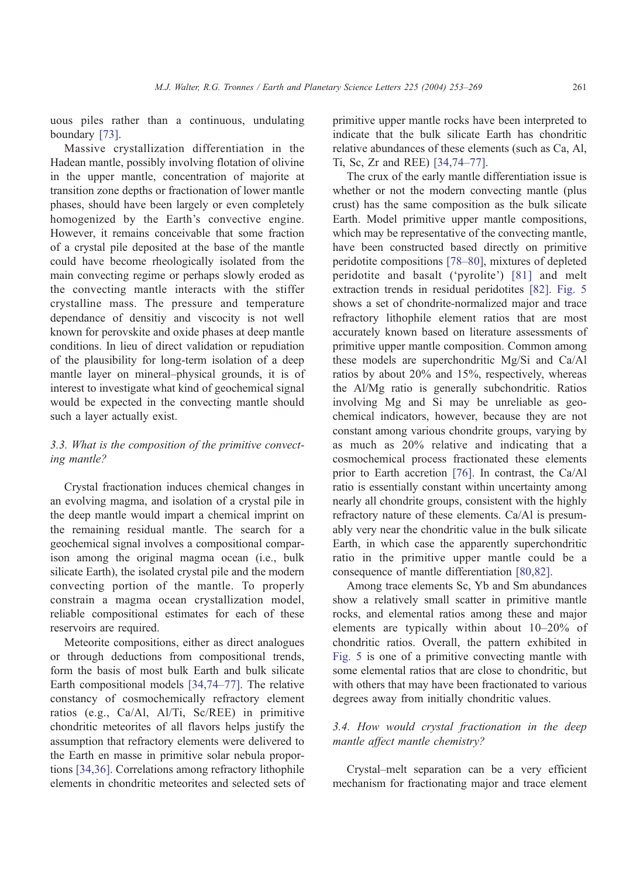uous piles rather than a continuous, undulating boundary [\[73\].](#page-16-0)

Massive crystallization differentiation in the Hadean mantle, possibly involving flotation of olivine in the upper mantle, concentration of majorite at transition zone depths or fractionation of lower mantle phases, should have been largely or even completely homogenized by the Earth's convective engine. However, it remains conceivable that some fraction of a crystal pile deposited at the base of the mantle could have become rheologically isolated from the main convecting regime or perhaps slowly eroded as the convecting mantle interacts with the stiffer crystalline mass. The pressure and temperature dependance of densitiy and viscocity is not well known for perovskite and oxide phases at deep mantle conditions. In lieu of direct validation or repudiation of the plausibility for long-term isolation of a deep mantle layer on mineral–physical grounds, it is of interest to investigate what kind of geochemical signal would be expected in the convecting mantle should such a layer actually exist.

## 3.3. What is the composition of the primitive convecting mantle?

Crystal fractionation induces chemical changes in an evolving magma, and isolation of a crystal pile in the deep mantle would impart a chemical imprint on the remaining residual mantle. The search for a geochemical signal involves a compositional comparison among the original magma ocean (i.e., bulk silicate Earth), the isolated crystal pile and the modern convecting portion of the mantle. To properly constrain a magma ocean crystallization model, reliable compositional estimates for each of these reservoirs are required.

Meteorite compositions, either as direct analogues or through deductions from compositional trends, form the basis of most bulk Earth and bulk silicate Earth compositional models [\[34,74–77\].](#page-14-0) The relative constancy of cosmochemically refractory element ratios (e.g., Ca/Al, Al/Ti, Sc/REE) in primitive chondritic meteorites of all flavors helps justify the assumption that refractory elements were delivered to the Earth en masse in primitive solar nebula proportions [\[34,36\]](#page-14-0). Correlations among refractory lithophile elements in chondritic meteorites and selected sets of primitive upper mantle rocks have been interpreted to indicate that the bulk silicate Earth has chondritic relative abundances of these elements (such as Ca, Al, Ti, Sc, Zr and REE) [\[34,74–77\].](#page-14-0)

The crux of the early mantle differentiation issue is whether or not the modern convecting mantle (plus crust) has the same composition as the bulk silicate Earth. Model primitive upper mantle compositions, which may be representative of the convecting mantle, have been constructed based directly on primitive peridotite compositions [\[78–80\],](#page-16-0) mixtures of depleted peridotite and basalt ('pyrolite') [\[81\]](#page-16-0) and melt extraction trends in residual peridotites [\[82\].](#page-16-0) [Fig. 5](#page-9-0) shows a set of chondrite-normalized major and trace refractory lithophile element ratios that are most accurately known based on literature assessments of primitive upper mantle composition. Common among these models are superchondritic Mg/Si and Ca/Al ratios by about 20% and 15%, respectively, whereas the Al/Mg ratio is generally subchondritic. Ratios involving Mg and Si may be unreliable as geochemical indicators, however, because they are not constant among various chondrite groups, varying by as much as 20% relative and indicating that a cosmochemical process fractionated these elements prior to Earth accretion [\[76\].](#page-16-0) In contrast, the Ca/Al ratio is essentially constant within uncertainty among nearly all chondrite groups, consistent with the highly refractory nature of these elements. Ca/Al is presumably very near the chondritic value in the bulk silicate Earth, in which case the apparently superchondritic ratio in the primitive upper mantle could be a consequence of mantle differentiation [\[80,82\].](#page-16-0)

Among trace elements Sc, Yb and Sm abundances show a relatively small scatter in primitive mantle rocks, and elemental ratios among these and major elements are typically within about 10–20% of chondritic ratios. Overall, the pattern exhibited in [Fig. 5](#page-9-0) is one of a primitive convecting mantle with some elemental ratios that are close to chondritic, but with others that may have been fractionated to various degrees away from initially chondritic values.

## 3.4. How would crystal fractionation in the deep mantle affect mantle chemistry?

Crystal–melt separation can be a very efficient mechanism for fractionating major and trace element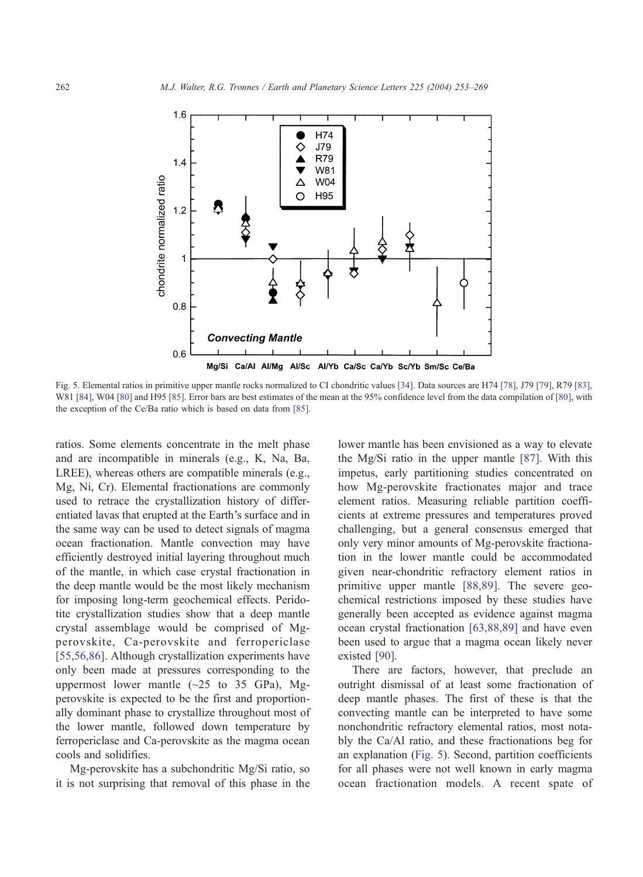<span id="page-9-0"></span>

Fig. 5. Elemental ratios in primitive upper mantle rocks normalized to CI chondritic values [\[34\].](#page-14-0) Data sources are H74 [\[78\],](#page-16-0) J79 [\[79\],](#page-16-0) R79 [\[83\],](#page-16-0) W81 [\[84\],](#page-16-0) W04 [\[80\]](#page-16-0) and H95 [\[85\].](#page-16-0) Error bars are best estimates of the mean at the 95% confidence level from the data compilation of [\[80\],](#page-16-0) with the exception of the Ce/Ba ratio which is based on data from [\[85\].](#page-16-0)

ratios. Some elements concentrate in the melt phase and are incompatible in minerals (e.g., K, Na, Ba, LREE), whereas others are compatible minerals (e.g., Mg, Ni, Cr). Elemental fractionations are commonly used to retrace the crystallization history of differentiated lavas that erupted at the Earth's surface and in the same way can be used to detect signals of magma ocean fractionation. Mantle convection may have efficiently destroyed initial layering throughout much of the mantle, in which case crystal fractionation in the deep mantle would be the most likely mechanism for imposing long-term geochemical effects. Peridotite crystallization studies show that a deep mantle crystal assemblage would be comprised of Mgperovskite, Ca-perovskite and ferropericlase [\[55,56,86\].](#page-15-0) Although crystallization experiments have only been made at pressures corresponding to the uppermost lower mantle  $(\sim 25$  to 35 GPa), Mgperovskite is expected to be the first and proportionally dominant phase to crystallize throughout most of the lower mantle, followed down temperature by ferropericlase and Ca-perovskite as the magma ocean cools and solidifies.

Mg-perovskite has a subchondritic Mg/Si ratio, so it is not surprising that removal of this phase in the lower mantle has been envisioned as a way to elevate the Mg/Si ratio in the upper mantle [\[87\].](#page-16-0) With this impetus, early partitioning studies concentrated on how Mg-perovskite fractionates major and trace element ratios. Measuring reliable partition coefficients at extreme pressures and temperatures proved challenging, but a general consensus emerged that only very minor amounts of Mg-perovskite fractionation in the lower mantle could be accommodated given near-chondritic refractory element ratios in primitive upper mantle [\[88,89\].](#page-16-0) The severe geochemical restrictions imposed by these studies have generally been accepted as evidence against magma ocean crystal fractionation [\[63,88,89\]](#page-15-0) and have even been used to argue that a magma ocean likely never existed [\[90\].](#page-16-0)

There are factors, however, that preclude an outright dismissal of at least some fractionation of deep mantle phases. The first of these is that the convecting mantle can be interpreted to have some nonchondritic refractory elemental ratios, most notably the Ca/Al ratio, and these fractionations beg for an explanation (Fig. 5). Second, partition coefficients for all phases were not well known in early magma ocean fractionation models. A recent spate of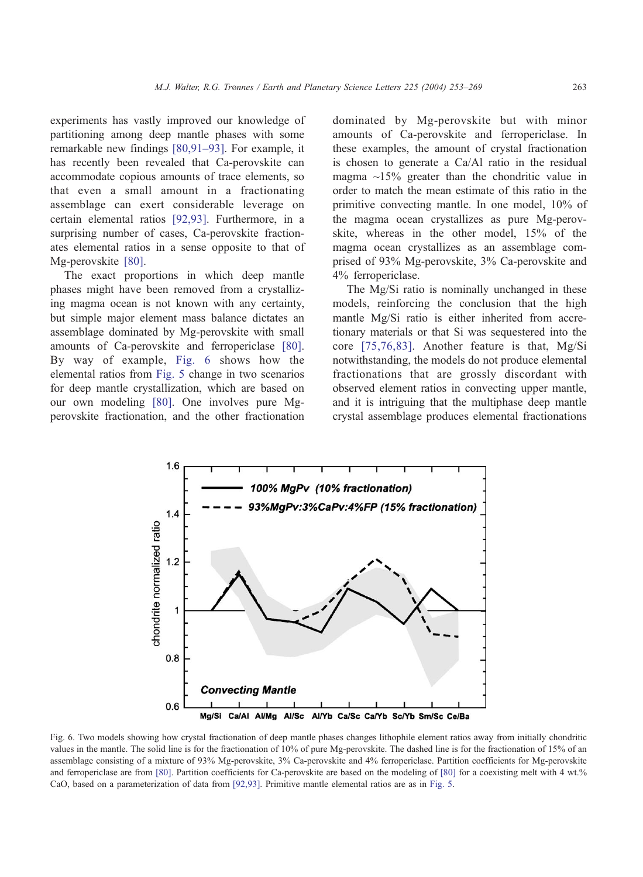<span id="page-10-0"></span>experiments has vastly improved our knowledge of partitioning among deep mantle phases with some remarkable new findings [\[80,91–93\].](#page-16-0) For example, it has recently been revealed that Ca-perovskite can accommodate copious amounts of trace elements, so that even a small amount in a fractionating assemblage can exert considerable leverage on certain elemental ratios [\[92,93\].](#page-16-0) Furthermore, in a surprising number of cases, Ca-perovskite fractionates elemental ratios in a sense opposite to that of Mg-perovskite [\[80\].](#page-16-0)

The exact proportions in which deep mantle phases might have been removed from a crystallizing magma ocean is not known with any certainty, but simple major element mass balance dictates an assemblage dominated by Mg-perovskite with small amounts of Ca-perovskite and ferropericlase [\[80\].](#page-16-0) By way of example, Fig. 6 shows how the elemental ratios from [Fig. 5](#page-9-0) change in two scenarios for deep mantle crystallization, which are based on our own modeling [\[80\].](#page-16-0) One involves pure Mgperovskite fractionation, and the other fractionation

dominated by Mg-perovskite but with minor amounts of Ca-perovskite and ferropericlase. In these examples, the amount of crystal fractionation is chosen to generate a Ca/Al ratio in the residual magma  $\sim$ 15% greater than the chondritic value in order to match the mean estimate of this ratio in the primitive convecting mantle. In one model, 10% of the magma ocean crystallizes as pure Mg-perovskite, whereas in the other model, 15% of the magma ocean crystallizes as an assemblage comprised of 93% Mg-perovskite, 3% Ca-perovskite and 4% ferropericlase.

The Mg/Si ratio is nominally unchanged in these models, reinforcing the conclusion that the high mantle Mg/Si ratio is either inherited from accretionary materials or that Si was sequestered into the core [\[75,76,83\].](#page-16-0) Another feature is that, Mg/Si notwithstanding, the models do not produce elemental fractionations that are grossly discordant with observed element ratios in convecting upper mantle, and it is intriguing that the multiphase deep mantle crystal assemblage produces elemental fractionations



Fig. 6. Two models showing how crystal fractionation of deep mantle phases changes lithophile element ratios away from initially chondritic values in the mantle. The solid line is for the fractionation of 10% of pure Mg-perovskite. The dashed line is for the fractionation of 15% of an assemblage consisting of a mixture of 93% Mg-perovskite, 3% Ca-perovskite and 4% ferropericlase. Partition coefficients for Mg-perovskite and ferropericlase are from [\[80\].](#page-16-0) Partition coefficients for Ca-perovskite are based on the modeling of [\[80\]](#page-16-0) for a coexisting melt with 4 wt.% CaO, based on a parameterization of data from [\[92,93\].](#page-16-0) Primitive mantle elemental ratios are as in [Fig. 5.](#page-9-0)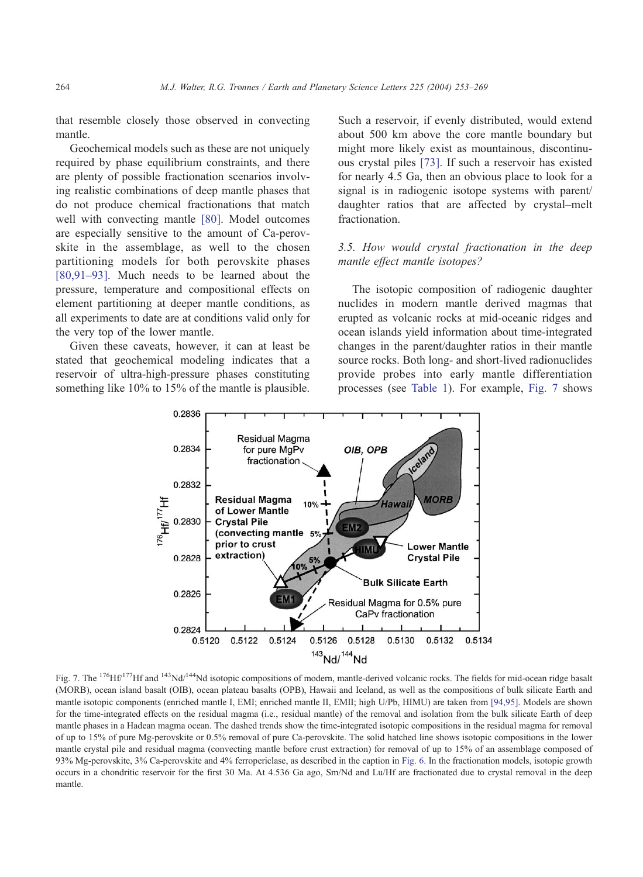<span id="page-11-0"></span>that resemble closely those observed in convecting mantle.

Geochemical models such as these are not uniquely required by phase equilibrium constraints, and there are plenty of possible fractionation scenarios involving realistic combinations of deep mantle phases that do not produce chemical fractionations that match well with convecting mantle [\[80\].](#page-16-0) Model outcomes are especially sensitive to the amount of Ca-perovskite in the assemblage, as well to the chosen partitioning models for both perovskite phases [\[80,91–93\]](#page-16-0). Much needs to be learned about the pressure, temperature and compositional effects on element partitioning at deeper mantle conditions, as all experiments to date are at conditions valid only for the very top of the lower mantle.

Given these caveats, however, it can at least be stated that geochemical modeling indicates that a reservoir of ultra-high-pressure phases constituting something like 10% to 15% of the mantle is plausible.

Such a reservoir, if evenly distributed, would extend about 500 km above the core mantle boundary but might more likely exist as mountainous, discontinuous crystal piles [\[73\].](#page-16-0) If such a reservoir has existed for nearly 4.5 Ga, then an obvious place to look for a signal is in radiogenic isotope systems with parent/ daughter ratios that are affected by crystal–melt fractionation.

## 3.5. How would crystal fractionation in the deep mantle effect mantle isotopes?

The isotopic composition of radiogenic daughter nuclides in modern mantle derived magmas that erupted as volcanic rocks at mid-oceanic ridges and ocean islands yield information about time-integrated changes in the parent/daughter ratios in their mantle source rocks. Both long- and short-lived radionuclides provide probes into early mantle differentiation processes (see [Table 1\)](#page-1-0). For example, Fig. 7 shows



Fig. 7. The  $176Hf/177Hf$  and  $143Nd/144Nd$  isotopic compositions of modern, mantle-derived volcanic rocks. The fields for mid-ocean ridge basalt (MORB), ocean island basalt (OIB), ocean plateau basalts (OPB), Hawaii and Iceland, as well as the compositions of bulk silicate Earth and mantle isotopic components (enriched mantle I, EMI; enriched mantle II, EMII; high U/Pb, HIMU) are taken from [\[94,95\].](#page-16-0) Models are shown for the time-integrated effects on the residual magma (i.e., residual mantle) of the removal and isolation from the bulk silicate Earth of deep mantle phases in a Hadean magma ocean. The dashed trends show the time-integrated isotopic compositions in the residual magma for removal of up to 15% of pure Mg-perovskite or 0.5% removal of pure Ca-perovskite. The solid hatched line shows isotopic compositions in the lower mantle crystal pile and residual magma (convecting mantle before crust extraction) for removal of up to 15% of an assemblage composed of 93% Mg-perovskite, 3% Ca-perovskite and 4% ferropericlase, as described in the caption in [Fig. 6.](#page-10-0) In the fractionation models, isotopic growth occurs in a chondritic reservoir for the first 30 Ma. At 4.536 Ga ago, Sm/Nd and Lu/Hf are fractionated due to crystal removal in the deep mantle.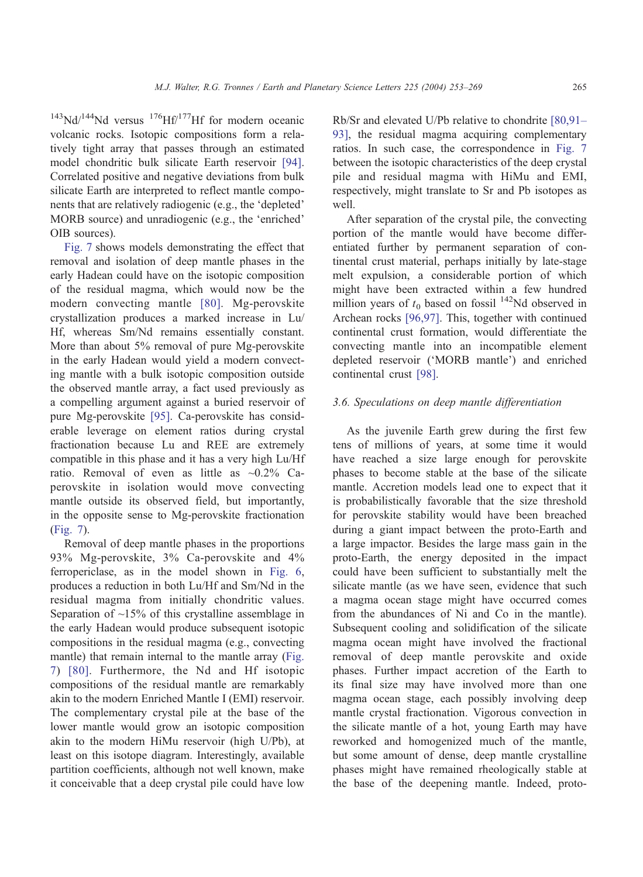$143$ Nd/ $144$ Nd versus  $176$ Hf/ $177$ Hf for modern oceanic volcanic rocks. Isotopic compositions form a relatively tight array that passes through an estimated model chondritic bulk silicate Earth reservoir [\[94\].](#page-16-0) Correlated positive and negative deviations from bulk silicate Earth are interpreted to reflect mantle components that are relatively radiogenic (e.g., the 'depleted' MORB source) and unradiogenic (e.g., the 'enriched' OIB sources).

[Fig. 7](#page-11-0) shows models demonstrating the effect that removal and isolation of deep mantle phases in the early Hadean could have on the isotopic composition of the residual magma, which would now be the modern convecting mantle [\[80\].](#page-16-0) Mg-perovskite crystallization produces a marked increase in Lu/ Hf, whereas Sm/Nd remains essentially constant. More than about 5% removal of pure Mg-perovskite in the early Hadean would yield a modern convecting mantle with a bulk isotopic composition outside the observed mantle array, a fact used previously as a compelling argument against a buried reservoir of pure Mg-perovskite [\[95\].](#page-16-0) Ca-perovskite has considerable leverage on element ratios during crystal fractionation because Lu and REE are extremely compatible in this phase and it has a very high Lu/Hf ratio. Removal of even as little as ~0.2% Caperovskite in isolation would move convecting mantle outside its observed field, but importantly, in the opposite sense to Mg-perovskite fractionation ([Fig. 7\)](#page-11-0).

Removal of deep mantle phases in the proportions 93% Mg-perovskite, 3% Ca-perovskite and 4% ferropericlase, as in the model shown in [Fig. 6,](#page-10-0) produces a reduction in both Lu/Hf and Sm/Nd in the residual magma from initially chondritic values. Separation of  $\sim$ 15% of this crystalline assemblage in the early Hadean would produce subsequent isotopic compositions in the residual magma (e.g., convecting mantle) that remain internal to the mantle array ([Fig.](#page-11-0) 7) [\[80\].](#page-16-0) Furthermore, the Nd and Hf isotopic compositions of the residual mantle are remarkably akin to the modern Enriched Mantle I (EMI) reservoir. The complementary crystal pile at the base of the lower mantle would grow an isotopic composition akin to the modern HiMu reservoir (high U/Pb), at least on this isotope diagram. Interestingly, available partition coefficients, although not well known, make it conceivable that a deep crystal pile could have low

Rb/Sr and elevated U/Pb relative to chondrite [\[80,91–](#page-16-0) 93], the residual magma acquiring complementary ratios. In such case, the correspondence in [Fig. 7](#page-11-0) between the isotopic characteristics of the deep crystal pile and residual magma with HiMu and EMI, respectively, might translate to Sr and Pb isotopes as well.

After separation of the crystal pile, the convecting portion of the mantle would have become differentiated further by permanent separation of continental crust material, perhaps initially by late-stage melt expulsion, a considerable portion of which might have been extracted within a few hundred million years of  $t_0$  based on fossil <sup>142</sup>Nd observed in Archean rocks [\[96,97\].](#page-16-0) This, together with continued continental crust formation, would differentiate the convecting mantle into an incompatible element depleted reservoir ('MORB mantle') and enriched continental crust [\[98\].](#page-16-0)

## 3.6. Speculations on deep mantle differentiation

As the juvenile Earth grew during the first few tens of millions of years, at some time it would have reached a size large enough for perovskite phases to become stable at the base of the silicate mantle. Accretion models lead one to expect that it is probabilistically favorable that the size threshold for perovskite stability would have been breached during a giant impact between the proto-Earth and a large impactor. Besides the large mass gain in the proto-Earth, the energy deposited in the impact could have been sufficient to substantially melt the silicate mantle (as we have seen, evidence that such a magma ocean stage might have occurred comes from the abundances of Ni and Co in the mantle). Subsequent cooling and solidification of the silicate magma ocean might have involved the fractional removal of deep mantle perovskite and oxide phases. Further impact accretion of the Earth to its final size may have involved more than one magma ocean stage, each possibly involving deep mantle crystal fractionation. Vigorous convection in the silicate mantle of a hot, young Earth may have reworked and homogenized much of the mantle, but some amount of dense, deep mantle crystalline phases might have remained rheologically stable at the base of the deepening mantle. Indeed, proto-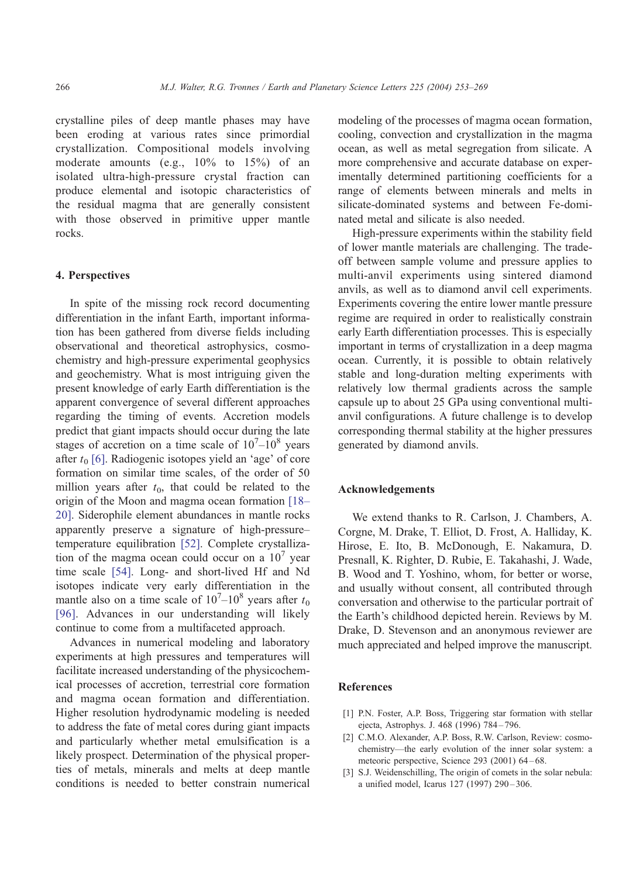<span id="page-13-0"></span>crystalline piles of deep mantle phases may have been eroding at various rates since primordial crystallization. Compositional models involving moderate amounts (e.g., 10% to 15%) of an isolated ultra-high-pressure crystal fraction can produce elemental and isotopic characteristics of the residual magma that are generally consistent with those observed in primitive upper mantle rocks.

## 4. Perspectives

In spite of the missing rock record documenting differentiation in the infant Earth, important information has been gathered from diverse fields including observational and theoretical astrophysics, cosmochemistry and high-pressure experimental geophysics and geochemistry. What is most intriguing given the present knowledge of early Earth differentiation is the apparent convergence of several different approaches regarding the timing of events. Accretion models predict that giant impacts should occur during the late stages of accretion on a time scale of  $10^{7}-10^{8}$  years after  $t_0$  [\[6\].](#page-14-0) Radiogenic isotopes yield an 'age' of core formation on similar time scales, of the order of 50 million years after  $t_0$ , that could be related to the origin of the Moon and magma ocean formation [\[18–](#page-14-0) 20]. Siderophile element abundances in mantle rocks apparently preserve a signature of high-pressure– temperature equilibration [\[52\].](#page-15-0) Complete crystallization of the magma ocean could occur on a  $10<sup>7</sup>$  year time scale [\[54\].](#page-15-0) Long- and short-lived Hf and Nd isotopes indicate very early differentiation in the mantle also on a time scale of  $10^{7}-10^{8}$  years after  $t_0$ [\[96\].](#page-16-0) Advances in our understanding will likely continue to come from a multifaceted approach.

Advances in numerical modeling and laboratory experiments at high pressures and temperatures will facilitate increased understanding of the physicochemical processes of accretion, terrestrial core formation and magma ocean formation and differentiation. Higher resolution hydrodynamic modeling is needed to address the fate of metal cores during giant impacts and particularly whether metal emulsification is a likely prospect. Determination of the physical properties of metals, minerals and melts at deep mantle conditions is needed to better constrain numerical modeling of the processes of magma ocean formation, cooling, convection and crystallization in the magma ocean, as well as metal segregation from silicate. A more comprehensive and accurate database on experimentally determined partitioning coefficients for a range of elements between minerals and melts in silicate-dominated systems and between Fe-dominated metal and silicate is also needed.

High-pressure experiments within the stability field of lower mantle materials are challenging. The tradeoff between sample volume and pressure applies to multi-anvil experiments using sintered diamond anvils, as well as to diamond anvil cell experiments. Experiments covering the entire lower mantle pressure regime are required in order to realistically constrain early Earth differentiation processes. This is especially important in terms of crystallization in a deep magma ocean. Currently, it is possible to obtain relatively stable and long-duration melting experiments with relatively low thermal gradients across the sample capsule up to about 25 GPa using conventional multianvil configurations. A future challenge is to develop corresponding thermal stability at the higher pressures generated by diamond anvils.

## Acknowledgements

We extend thanks to R. Carlson, J. Chambers, A. Corgne, M. Drake, T. Elliot, D. Frost, A. Halliday, K. Hirose, E. Ito, B. McDonough, E. Nakamura, D. Presnall, K. Righter, D. Rubie, E. Takahashi, J. Wade, B. Wood and T. Yoshino, whom, for better or worse, and usually without consent, all contributed through conversation and otherwise to the particular portrait of the Earth's childhood depicted herein. Reviews by M. Drake, D. Stevenson and an anonymous reviewer are much appreciated and helped improve the manuscript.

#### References

- [1] P.N. Foster, A.P. Boss, Triggering star formation with stellar ejecta, Astrophys. J. 468 (1996) 784 – 796.
- [2] C.M.O. Alexander, A.P. Boss, R.W. Carlson, Review: cosmochemistry—the early evolution of the inner solar system: a meteoric perspective, Science 293 (2001) 64 – 68.
- [3] S.J. Weidenschilling, The origin of comets in the solar nebula: a unified model, Icarus 127 (1997) 290 – 306.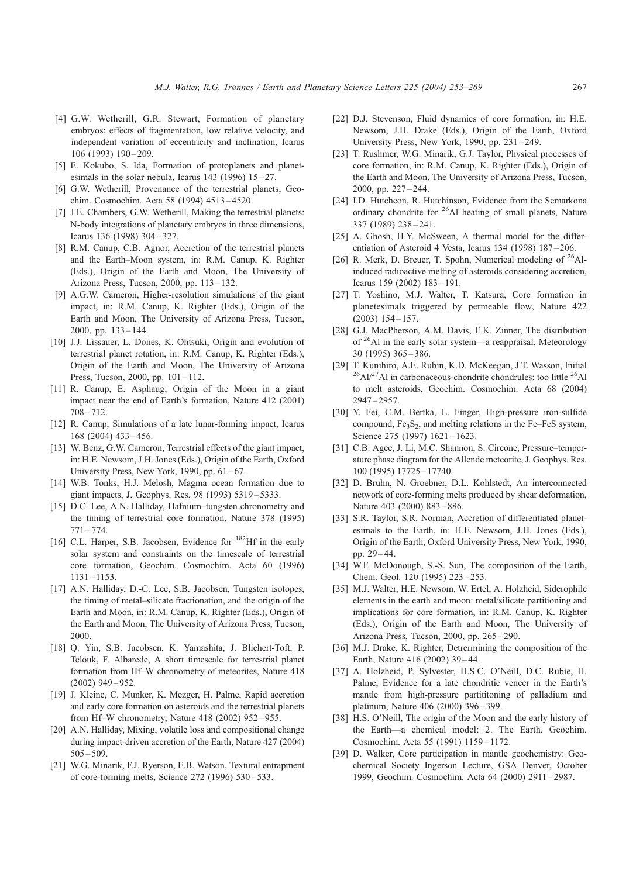- <span id="page-14-0"></span>[4] G.W. Wetherill, G.R. Stewart, Formation of planetary embryos: effects of fragmentation, low relative velocity, and independent variation of eccentricity and inclination, Icarus 106 (1993) 190 – 209.
- [5] E. Kokubo, S. Ida, Formation of protoplanets and planetesimals in the solar nebula, Icarus 143 (1996)  $15-27$ .
- [6] G.W. Wetherill, Provenance of the terrestrial planets, Geochim. Cosmochim. Acta 58 (1994) 4513 – 4520.
- [7] J.E. Chambers, G.W. Wetherill, Making the terrestrial planets: N-body integrations of planetary embryos in three dimensions, Icarus 136 (1998) 304 – 327.
- [8] R.M. Canup, C.B. Agnor, Accretion of the terrestrial planets and the Earth–Moon system, in: R.M. Canup, K. Righter (Eds.), Origin of the Earth and Moon, The University of Arizona Press, Tucson, 2000, pp. 113 – 132.
- [9] A.G.W. Cameron, Higher-resolution simulations of the giant impact, in: R.M. Canup, K. Righter (Eds.), Origin of the Earth and Moon, The University of Arizona Press, Tucson, 2000, pp. 133 – 144.
- [10] J.J. Lissauer, L. Dones, K. Ohtsuki, Origin and evolution of terrestrial planet rotation, in: R.M. Canup, K. Righter (Eds.), Origin of the Earth and Moon, The University of Arizona Press, Tucson, 2000, pp. 101-112.
- [11] R. Canup, E. Asphaug, Origin of the Moon in a giant impact near the end of Earth's formation, Nature 412 (2001) 708 – 712.
- [12] R. Canup, Simulations of a late lunar-forming impact, Icarus 168 (2004) 433 – 456.
- [13] W. Benz, G.W. Cameron, Terrestrial effects of the giant impact, in: H.E. Newsom, J.H. Jones (Eds.), Origin of the Earth, Oxford University Press, New York, 1990, pp.  $61-67$ .
- [14] W.B. Tonks, H.J. Melosh, Magma ocean formation due to giant impacts, J. Geophys. Res. 98 (1993) 5319 – 5333.
- [15] D.C. Lee, A.N. Halliday, Hafnium-tungsten chronometry and the timing of terrestrial core formation, Nature 378 (1995) 771 – 774.
- [16] C.L. Harper, S.B. Jacobsen, Evidence for  $^{182}$ Hf in the early solar system and constraints on the timescale of terrestrial core formation, Geochim. Cosmochim. Acta 60 (1996) 1131 – 1153.
- [17] A.N. Halliday, D.-C. Lee, S.B. Jacobsen, Tungsten isotopes, the timing of metal–silicate fractionation, and the origin of the Earth and Moon, in: R.M. Canup, K. Righter (Eds.), Origin of the Earth and Moon, The University of Arizona Press, Tucson, 2000.
- [18] Q. Yin, S.B. Jacobsen, K. Yamashita, J. Blichert-Toft, P. Telouk, F. Albarede, A short timescale for terrestrial planet formation from Hf–W chronometry of meteorites, Nature 418 (2002) 949 – 952.
- [19] J. Kleine, C. Munker, K. Mezger, H. Palme, Rapid accretion and early core formation on asteroids and the terrestrial planets from Hf–W chronometry, Nature 418 (2002) 952 – 955.
- [20] A.N. Halliday, Mixing, volatile loss and compositional change during impact-driven accretion of the Earth, Nature 427 (2004)  $505 - 509.$
- [21] W.G. Minarik, F.J. Ryerson, E.B. Watson, Textural entrapment of core-forming melts, Science 272 (1996) 530 – 533.
- [22] D.J. Stevenson, Fluid dynamics of core formation, in: H.E. Newsom, J.H. Drake (Eds.), Origin of the Earth, Oxford University Press, New York, 1990, pp. 231 – 249.
- [23] T. Rushmer, W.G. Minarik, G.J. Taylor, Physical processes of core formation, in: R.M. Canup, K. Righter (Eds.), Origin of the Earth and Moon, The University of Arizona Press, Tucson, 2000, pp. 227 – 244.
- [24] I.D. Hutcheon, R. Hutchinson, Evidence from the Semarkona ordinary chondrite for  $26$ Al heating of small planets, Nature 337 (1989) 238 – 241.
- [25] A. Ghosh, H.Y. McSween, A thermal model for the differentiation of Asteroid 4 Vesta, Icarus 134 (1998) 187-206.
- [26] R. Merk, D. Breuer, T. Spohn, Numerical modeling of  $^{26}$ Alinduced radioactive melting of asteroids considering accretion, Icarus 159 (2002) 183 – 191.
- [27] T. Yoshino, M.J. Walter, T. Katsura, Core formation in planetesimals triggered by permeable flow, Nature 422  $(2003)$  154 – 157.
- [28] G.J. MacPherson, A.M. Davis, E.K. Zinner, The distribution of <sup>26</sup>Al in the early solar system—a reappraisal, Meteorology 30 (1995) 365 – 386.
- [29] T. Kunihiro, A.E. Rubin, K.D. McKeegan, J.T. Wasson, Initial  $^{26}$ Al/<sup>27</sup>Al in carbonaceous-chondrite chondrules: too little <sup>26</sup>Al to melt asteroids, Geochim. Cosmochim. Acta 68 (2004) 2947 – 2957.
- [30] Y. Fei, C.M. Bertka, L. Finger, High-pressure iron-sulfide compound,  $Fe<sub>3</sub>S<sub>2</sub>$ , and melting relations in the Fe–FeS system, Science 275 (1997) 1621-1623.
- [31] C.B. Agee, J. Li, M.C. Shannon, S. Circone, Pressure–temperature phase diagram for the Allende meteorite, J. Geophys. Res. 100 (1995) 17725 – 17740.
- [32] D. Bruhn, N. Groebner, D.L. Kohlstedt, An interconnected network of core-forming melts produced by shear deformation, Nature 403 (2000) 883 – 886.
- [33] S.R. Taylor, S.R. Norman, Accretion of differentiated planetesimals to the Earth, in: H.E. Newsom, J.H. Jones (Eds.), Origin of the Earth, Oxford University Press, New York, 1990, pp. 29 – 44.
- [34] W.F. McDonough, S.-S. Sun, The composition of the Earth, Chem. Geol. 120 (1995) 223 – 253.
- [35] M.J. Walter, H.E. Newsom, W. Ertel, A. Holzheid, Siderophile elements in the earth and moon: metal/silicate partitioning and implications for core formation, in: R.M. Canup, K. Righter (Eds.), Origin of the Earth and Moon, The University of Arizona Press, Tucson, 2000, pp. 265 – 290.
- [36] M.J. Drake, K. Righter, Detrermining the composition of the Earth, Nature 416 (2002) 39 – 44.
- [37] A. Holzheid, P. Sylvester, H.S.C. O'Neill, D.C. Rubie, H. Palme, Evidence for a late chondritic veneer in the Earth's mantle from high-pressure partititoning of palladium and platinum, Nature 406 (2000) 396 – 399.
- [38] H.S. O'Neill, The origin of the Moon and the early history of the Earth—a chemical model: 2. The Earth, Geochim. Cosmochim. Acta 55 (1991) 1159 – 1172.
- [39] D. Walker, Core participation in mantle geochemistry: Geochemical Society Ingerson Lecture, GSA Denver, October 1999, Geochim. Cosmochim. Acta 64 (2000) 2911 – 2987.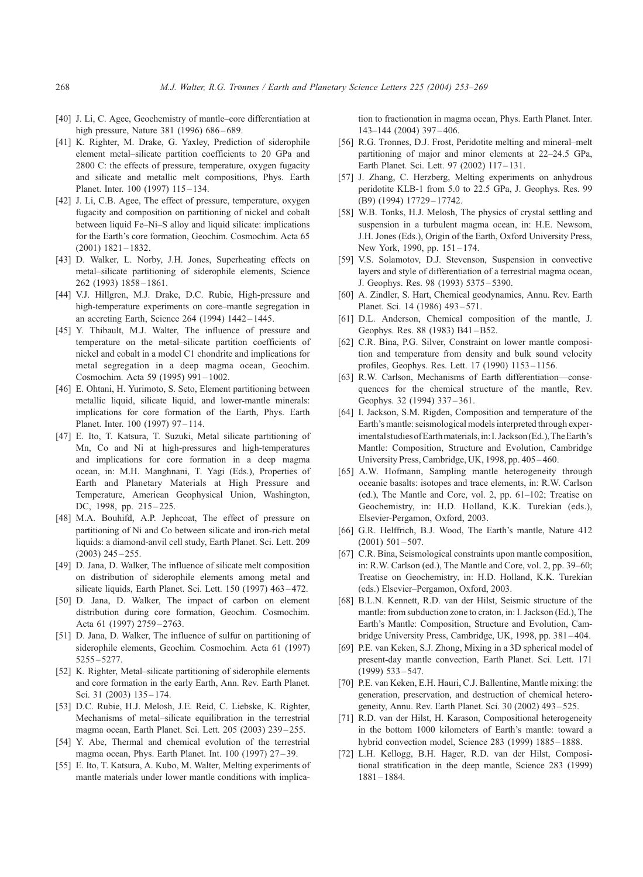- [40] J. Li, C. Agee, Geochemistry of mantle–core differentiation at high pressure, Nature 381 (1996) 686-689.
- [41] K. Righter, M. Drake, G. Yaxley, Prediction of siderophile element metal–silicate partition coefficients to 20 GPa and 2800 C: the effects of pressure, temperature, oxygen fugacity and silicate and metallic melt compositions, Phys. Earth Planet. Inter. 100 (1997) 115 – 134.
- [42] J. Li, C.B. Agee, The effect of pressure, temperature, oxygen fugacity and composition on partitioning of nickel and cobalt between liquid Fe–Ni–S alloy and liquid silicate: implications for the Earth's core formation, Geochim. Cosmochim. Acta 65  $(2001)$  1821 – 1832.
- [43] D. Walker, L. Norby, J.H. Jones, Superheating effects on metal–silicate partitioning of siderophile elements, Science 262 (1993) 1858 – 1861.
- [44] V.J. Hillgren, M.J. Drake, D.C. Rubie, High-pressure and high-temperature experiments on core–mantle segregation in an accreting Earth, Science 264 (1994) 1442 – 1445.
- [45] Y. Thibault, M.J. Walter, The influence of pressure and temperature on the metal–silicate partition coefficients of nickel and cobalt in a model C1 chondrite and implications for metal segregation in a deep magma ocean, Geochim. Cosmochim. Acta 59 (1995) 991 – 1002.
- [46] E. Ohtani, H. Yurimoto, S. Seto, Element partitioning between metallic liquid, silicate liquid, and lower-mantle minerals: implications for core formation of the Earth, Phys. Earth Planet. Inter. 100 (1997) 97-114.
- [47] E. Ito, T. Katsura, T. Suzuki, Metal silicate partitioning of Mn, Co and Ni at high-pressures and high-temperatures and implications for core formation in a deep magma ocean, in: M.H. Manghnani, T. Yagi (Eds.), Properties of Earth and Planetary Materials at High Pressure and Temperature, American Geophysical Union, Washington, DC, 1998, pp. 215-225.
- [48] M.A. Bouhifd, A.P. Jephcoat, The effect of pressure on partitioning of Ni and Co between silicate and iron-rich metal liquids: a diamond-anvil cell study, Earth Planet. Sci. Lett. 209  $(2003)$  245 – 255.
- [49] D. Jana, D. Walker, The influence of silicate melt composition on distribution of siderophile elements among metal and silicate liquids, Earth Planet. Sci. Lett. 150 (1997) 463 – 472.
- [50] D. Jana, D. Walker, The impact of carbon on element distribution during core formation, Geochim. Cosmochim. Acta 61 (1997) 2759-2763.
- [51] D. Jana, D. Walker, The influence of sulfur on partitioning of siderophile elements, Geochim. Cosmochim. Acta 61 (1997) 5255 – 5277.
- [52] K. Righter, Metal–silicate partitioning of siderophile elements and core formation in the early Earth, Ann. Rev. Earth Planet. Sci. 31 (2003) 135-174.
- [53] D.C. Rubie, H.J. Melosh, J.E. Reid, C. Liebske, K. Righter, Mechanisms of metal–silicate equilibration in the terrestrial magma ocean, Earth Planet. Sci. Lett. 205 (2003) 239 – 255.
- [54] Y. Abe, Thermal and chemical evolution of the terrestrial magma ocean, Phys. Earth Planet. Int. 100 (1997) 27 – 39.
- [55] E. Ito, T. Katsura, A. Kubo, M. Walter, Melting experiments of mantle materials under lower mantle conditions with implica-

tion to fractionation in magma ocean, Phys. Earth Planet. Inter. 143–144 (2004) 397 – 406.

- [56] R.G. Tronnes, D.J. Frost, Peridotite melting and mineral–melt partitioning of major and minor elements at 22–24.5 GPa, Earth Planet. Sci. Lett. 97 (2002) 117 – 131.
- [57] J. Zhang, C. Herzberg, Melting experiments on anhydrous peridotite KLB-1 from 5.0 to 22.5 GPa, J. Geophys. Res. 99 (B9) (1994) 17729 – 17742.
- [58] W.B. Tonks, H.J. Melosh, The physics of crystal settling and suspension in a turbulent magma ocean, in: H.E. Newsom, J.H. Jones (Eds.), Origin of the Earth, Oxford University Press, New York, 1990, pp. 151-174.
- [59] V.S. Solamotov, D.J. Stevenson, Suspension in convective layers and style of differentiation of a terrestrial magma ocean, J. Geophys. Res. 98 (1993) 5375 – 5390.
- [60] A. Zindler, S. Hart, Chemical geodynamics, Annu. Rev. Earth Planet. Sci. 14 (1986) 493 – 571.
- [61] D.L. Anderson, Chemical composition of the mantle, J. Geophys. Res. 88 (1983) B41-B52.
- [62] C.R. Bina, P.G. Silver, Constraint on lower mantle composition and temperature from density and bulk sound velocity profiles, Geophys. Res. Lett. 17 (1990) 1153 – 1156.
- [63] R.W. Carlson, Mechanisms of Earth differentiation-consequences for the chemical structure of the mantle, Rev. Geophys. 32 (1994) 337-361.
- [64] I. Jackson, S.M. Rigden, Composition and temperature of the Earth's mantle: seismological models interpreted through experimental studies of Earth materials, in: I. Jackson (Ed.), The Earth's Mantle: Composition, Structure and Evolution, Cambridge University Press, Cambridge, UK, 1998, pp. 405 – 460.
- [65] A.W. Hofmann, Sampling mantle heterogeneity through oceanic basalts: isotopes and trace elements, in: R.W. Carlson (ed.), The Mantle and Core, vol. 2, pp. 61–102; Treatise on Geochemistry, in: H.D. Holland, K.K. Turekian (eds.), Elsevier-Pergamon, Oxford, 2003.
- [66] G.R. Helffrich, B.J. Wood, The Earth's mantle, Nature 412  $(2001)$  501 – 507.
- [67] C.R. Bina, Seismological constraints upon mantle composition, in: R.W. Carlson (ed.), The Mantle and Core, vol. 2, pp. 39–60; Treatise on Geochemistry, in: H.D. Holland, K.K. Turekian (eds.) Elsevier–Pergamon, Oxford, 2003.
- [68] B.L.N. Kennett, R.D. van der Hilst, Seismic structure of the mantle: from subduction zone to craton, in: I. Jackson (Ed.), The Earth's Mantle: Composition, Structure and Evolution, Cambridge University Press, Cambridge, UK, 1998, pp. 381 – 404.
- [69] P.E. van Keken, S.J. Zhong, Mixing in a 3D spherical model of present-day mantle convection, Earth Planet. Sci. Lett. 171 (1999) 533 – 547.
- [70] P.E. van Keken, E.H. Hauri, C.J. Ballentine, Mantle mixing: the generation, preservation, and destruction of chemical heterogeneity, Annu. Rev. Earth Planet. Sci. 30 (2002) 493 – 525.
- [71] R.D. van der Hilst, H. Karason, Compositional heterogeneity in the bottom 1000 kilometers of Earth's mantle: toward a hybrid convection model, Science 283 (1999) 1885 – 1888.
- [72] L.H. Kellogg, B.H. Hager, R.D. van der Hilst, Compositional stratification in the deep mantle, Science 283 (1999) 1881 – 1884.

<span id="page-15-0"></span>